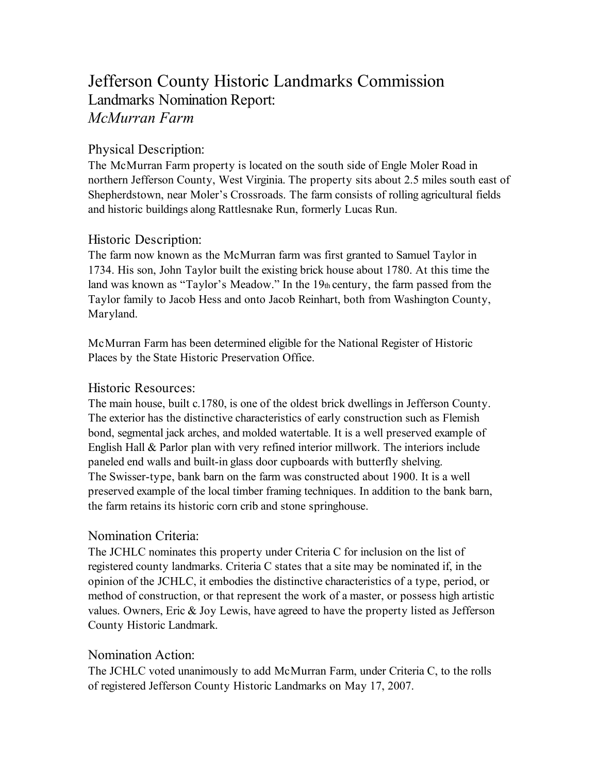# Jefferson County Historic Landmarks Commission Landmarks Nomination Report: *McMurran Farm*

## Physical Description:

The McMurran Farm property is located on the south side of Engle Moler Road in northern Jefferson County, West Virginia. The property sits about 2.5 miles south east of Shepherdstown, near Moler's Crossroads. The farm consists of rolling agricultural fields and historic buildings along Rattlesnake Run, formerly Lucas Run.

## Historic Description:

The farm now known as the McMurran farm was first granted to Samuel Taylor in 1734. His son, John Taylor built the existing brick house about 1780. At this time the land was known as "Taylor's Meadow." In the 19th century, the farm passed from the Taylor family to Jacob Hess and onto Jacob Reinhart, both from Washington County, Maryland.

McMurran Farm has been determined eligible for the National Register of Historic Places by the State Historic Preservation Office.

#### Historic Resources:

The main house, built c.1780, is one of the oldest brick dwellings in Jefferson County. The exterior has the distinctive characteristics of early construction such as Flemish bond, segmental jack arches, and molded watertable. It is a well preserved example of English Hall & Parlor plan with very refined interior millwork. The interiors include paneled end walls and built-in glass door cupboards with butterfly shelving. The Swisser-type, bank barn on the farm was constructed about 1900. It is a well preserved example of the local timber framing techniques. In addition to the bank barn, the farm retains its historic corn crib and stone springhouse.

## Nomination Criteria:

The JCHLC nominates this property under Criteria C for inclusion on the list of registered county landmarks. Criteria C states that a site may be nominated if, in the opinion of the JCHLC, it embodies the distinctive characteristics of a type, period, or method of construction, or that represent the work of a master, or possess high artistic values. Owners, Eric & Joy Lewis, have agreed to have the property listed as Jefferson County Historic Landmark.

## Nomination Action:

The JCHLC voted unanimously to add McMurran Farm, under Criteria C, to the rolls of registered Jefferson County Historic Landmarks on May 17, 2007.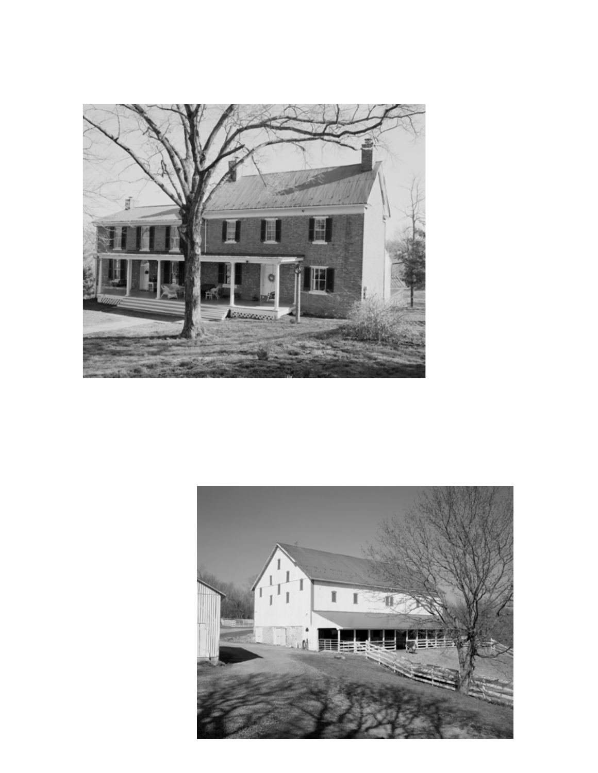